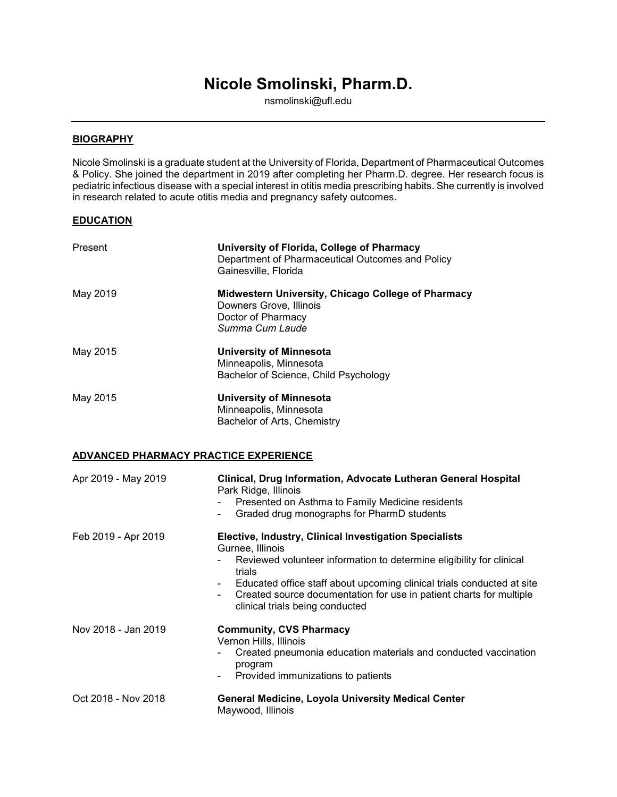# **Nicole Smolinski, Pharm.D.**

nsmolinski@ufl.edu

### **BIOGRAPHY**

Nicole Smolinski is a graduate student at the University of Florida, Department of Pharmaceutical Outcomes & Policy. She joined the department in 2019 after completing her Pharm.D. degree. Her research focus is pediatric infectious disease with a special interest in otitis media prescribing habits. She currently is involved in research related to acute otitis media and pregnancy safety outcomes.

#### **EDUCATION**

| Present             | University of Florida, College of Pharmacy<br>Department of Pharmaceutical Outcomes and Policy<br>Gainesville, Florida                                                                                                                                                                                                                           |
|---------------------|--------------------------------------------------------------------------------------------------------------------------------------------------------------------------------------------------------------------------------------------------------------------------------------------------------------------------------------------------|
| May 2019            | Midwestern University, Chicago College of Pharmacy<br>Downers Grove, Illinois<br>Doctor of Pharmacy<br>Summa Cum Laude                                                                                                                                                                                                                           |
| May 2015            | <b>University of Minnesota</b><br>Minneapolis, Minnesota<br>Bachelor of Science, Child Psychology                                                                                                                                                                                                                                                |
| May 2015            | <b>University of Minnesota</b><br>Minneapolis, Minnesota<br>Bachelor of Arts, Chemistry                                                                                                                                                                                                                                                          |
|                     | <b>ADVANCED PHARMACY PRACTICE EXPERIENCE</b>                                                                                                                                                                                                                                                                                                     |
| Apr 2019 - May 2019 | Clinical, Drug Information, Advocate Lutheran General Hospital<br>Park Ridge, Illinois<br>Presented on Asthma to Family Medicine residents<br>Graded drug monographs for PharmD students                                                                                                                                                         |
| Feb 2019 - Apr 2019 | Elective, Industry, Clinical Investigation Specialists<br>Gurnee, Illinois<br>Reviewed volunteer information to determine eligibility for clinical<br>trials<br>Educated office staff about upcoming clinical trials conducted at site<br>Created source documentation for use in patient charts for multiple<br>clinical trials being conducted |
| Nov 2018 - Jan 2019 | <b>Community, CVS Pharmacy</b>                                                                                                                                                                                                                                                                                                                   |

Vernon Hills, Illinois

- Created pneumonia education materials and conducted vaccination program
- Provided immunizations to patients

| Oct 2018 - Nov 2018 | <b>General Medicine, Loyola University Medical Center</b> |
|---------------------|-----------------------------------------------------------|
|                     | Maywood, Illinois                                         |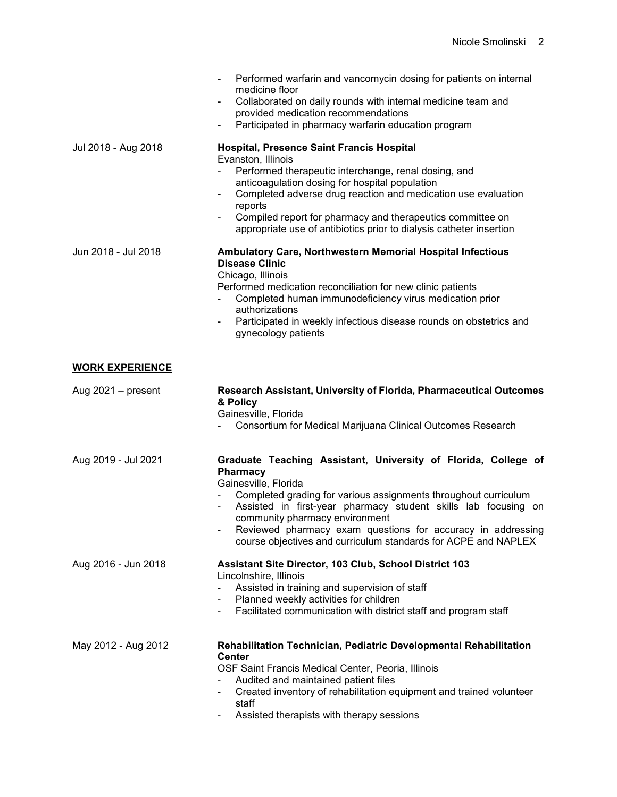|                        | Performed warfarin and vancomycin dosing for patients on internal<br>medicine floor<br>Collaborated on daily rounds with internal medicine team and<br>provided medication recommendations<br>Participated in pharmacy warfarin education program                                                                                                                                                                                     |
|------------------------|---------------------------------------------------------------------------------------------------------------------------------------------------------------------------------------------------------------------------------------------------------------------------------------------------------------------------------------------------------------------------------------------------------------------------------------|
| Jul 2018 - Aug 2018    | <b>Hospital, Presence Saint Francis Hospital</b><br>Evanston, Illinois<br>Performed therapeutic interchange, renal dosing, and<br>anticoagulation dosing for hospital population<br>Completed adverse drug reaction and medication use evaluation<br>$\blacksquare$<br>reports<br>Compiled report for pharmacy and therapeutics committee on<br>$\blacksquare$<br>appropriate use of antibiotics prior to dialysis catheter insertion |
| Jun 2018 - Jul 2018    | Ambulatory Care, Northwestern Memorial Hospital Infectious<br><b>Disease Clinic</b><br>Chicago, Illinois<br>Performed medication reconciliation for new clinic patients<br>Completed human immunodeficiency virus medication prior<br>authorizations<br>Participated in weekly infectious disease rounds on obstetrics and<br>gynecology patients                                                                                     |
| <b>WORK EXPERIENCE</b> |                                                                                                                                                                                                                                                                                                                                                                                                                                       |
| Aug $2021 -$ present   | Research Assistant, University of Florida, Pharmaceutical Outcomes<br>& Policy<br>Gainesville, Florida<br>Consortium for Medical Marijuana Clinical Outcomes Research                                                                                                                                                                                                                                                                 |
| Aug 2019 - Jul 2021    | Graduate Teaching Assistant, University of Florida, College of<br><b>Pharmacy</b><br>Gainesville, Florida<br>Completed grading for various assignments throughout curriculum<br>Assisted in first-year pharmacy student skills lab focusing on<br>community pharmacy environment<br>Reviewed pharmacy exam questions for accuracy in addressing<br>course objectives and curriculum standards for ACPE and NAPLEX                     |
| Aug 2016 - Jun 2018    | Assistant Site Director, 103 Club, School District 103<br>Lincolnshire, Illinois<br>Assisted in training and supervision of staff<br>Planned weekly activities for children<br>Facilitated communication with district staff and program staff<br>۰                                                                                                                                                                                   |
| May 2012 - Aug 2012    | Rehabilitation Technician, Pediatric Developmental Rehabilitation<br><b>Center</b><br>OSF Saint Francis Medical Center, Peoria, Illinois<br>Audited and maintained patient files<br>Created inventory of rehabilitation equipment and trained volunteer<br>staff<br>Assisted therapists with therapy sessions                                                                                                                         |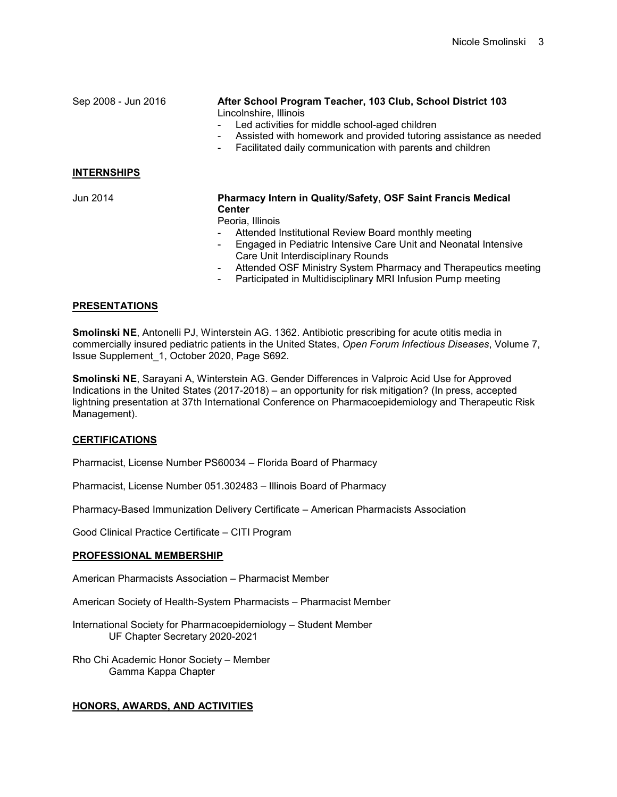| Sep 2008 - Jun 2016 | After School Program Teacher, 103 Club, School District 103<br>Lincolnshire, Illinois<br>Led activities for middle school-aged children<br>Assisted with homework and provided tutoring assistance as needed<br>$\overline{\phantom{a}}$<br>Facilitated daily communication with parents and children<br>۰                                           |
|---------------------|------------------------------------------------------------------------------------------------------------------------------------------------------------------------------------------------------------------------------------------------------------------------------------------------------------------------------------------------------|
| <b>INTERNSHIPS</b>  |                                                                                                                                                                                                                                                                                                                                                      |
| Jun 2014            | <b>Pharmacy Intern in Quality/Safety, OSF Saint Francis Medical</b><br><b>Center</b><br>Peoria, Illinois<br>Attended Institutional Review Board monthly meeting<br>۰<br>Engaged in Pediatric Intensive Care Unit and Neonatal Intensive<br>۰<br>Care Unit Interdisciplinary Rounds<br>Attended OSE Ministry System Dharmooy and Therepouties meeting |

- Attended OSF Ministry System Pharmacy and Therapeutics meeting
- Participated in Multidisciplinary MRI Infusion Pump meeting

## **PRESENTATIONS**

**Smolinski NE**, Antonelli PJ, Winterstein AG. 1362. Antibiotic prescribing for acute otitis media in commercially insured pediatric patients in the United States, *Open Forum Infectious Diseases*, Volume 7, Issue Supplement\_1, October 2020, Page S692.

**Smolinski NE**, Sarayani A, Winterstein AG. Gender Differences in Valproic Acid Use for Approved Indications in the United States (2017-2018) – an opportunity for risk mitigation? (In press, accepted lightning presentation at 37th International Conference on Pharmacoepidemiology and Therapeutic Risk Management).

## **CERTIFICATIONS**

Pharmacist, License Number PS60034 – Florida Board of Pharmacy

Pharmacist, License Number 051.302483 – Illinois Board of Pharmacy

Pharmacy-Based Immunization Delivery Certificate – American Pharmacists Association

Good Clinical Practice Certificate – CITI Program

#### **PROFESSIONAL MEMBERSHIP**

American Pharmacists Association – Pharmacist Member

American Society of Health-System Pharmacists – Pharmacist Member

International Society for Pharmacoepidemiology – Student Member UF Chapter Secretary 2020-2021

Rho Chi Academic Honor Society – Member Gamma Kappa Chapter

## **HONORS, AWARDS, AND ACTIVITIES**